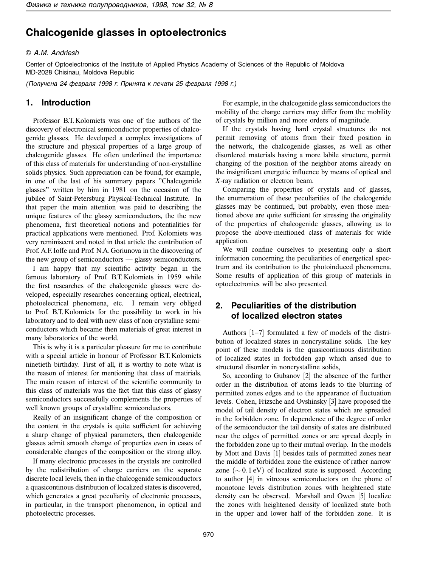# **Chalcogenide glasses in optoelectronics**

#### © A.M. Andriesh

Center of Optoelectronics of the Institute of Applied Physics Academy of Sciences of the Republic of Moldova MD-2028 Chisinau, Moldova Republic

(Получена 24 февраля 1998 г. Принята к печати 25 февраля 1998 г.)

#### **1. Introduction**

Professor B.T. Kolomiets was one of the authors of the discovery of electronical semiconductor properties of chalcogenide glasses. He developed a complex investigations of the structure and physical properties of a large group of chalcogenide glasses. He often underlined the importance of this class of materials for understanding of non-crystalline solids physics. Such appreciation can be found, for example, in one of the last of his summary papers "Chalcogenide glasses" written by him in 1981 on the occasion of the jubilee of Saint-Petersburg Physical-Technical Institute. In that paper the main attention was paid to describing the unique features of the glassy semiconductors, the the new phenomena, first theoretical notions and potentialities for practical applications were mentioned. Prof. Kolomiets was very reminiscent and noted in that article the contribution of Prof. A.F. Ioffe and Prof. N.A. Goriunova in the discovering of the new group of semiconductors — glassy semiconductors.

I am happy that my scientific activity began in the famous laboratory of Prof. B.T. Kolomiets in 1959 while the first researches of the chalcogenide glasses were developed, especially researches concerning optical, electrical, photoelectrical phenomena, etc. I remain very obliged to Prof. B.T. Kolomiets for the possibility to work in his laboratory and to deal with new class of non-crystalline semiconductors which became then materials of great interest in many laboratories of the world.

This is why it is a particular pleasure for me to contribute with a special article in honour of Professor B.T. Kolomiets ninetieth birthday. First of all, it is worthy to note what is the reason of interest for mentioning that class of matirials. The main reason of interest of the scientific community to this class of materials was the fact that this class of glassy semiconductors successfully complements the properties of well known groups of crystalline semiconductors.

Really of an insignificant change of the composition or the content in the crystals is quite sufficient for achieving a sharp change of physical parameters, then chalcogenide glasses admit smooth change of properties even in cases of considerable changes of the composition or the strong alloy.

If many electronic processes in the crystals are controlled by the redistribution of charge carriers on the separate discrete local levels, then in the chalcogenide semiconductors a quasicontinous distribution of localized states is discovered, which generates a great peculiarity of electronic processes, in particular, in the transport phenomenon, in optical and photoelectric processes.

For example, in the chalcogenide glass semiconductors the mobility of the charge carriers may differ from the mobility of crystals by million and more orders of magnitude.

If the crystals having hard crystal structures do not permit removing of atoms from their fixed position in the network, the chalcogenide glasses, as well as other disordered materials having a more labile structure, permit changing of the position of the neighbor atoms already on the insignificant energetic influence by means of optical and *X*-ray radiation or electron beam.

Comparing the properties of crystals and of glasses, the enumeration of these peculiarities of the chalcogenide glasses may be continued, but probably, even those mentioned above are quite sufficient for stressing the originality of the properties of chalcogenide glasses, allowing us to propose the above-mentioned class of materials for wide application.

We will confine ourselves to presenting only a short information concerning the peculiarities of energetical spectrum and its contribution to the photoinduced phenomena. Some results of application of this group of materials in optoelectronics will be also presented.

## **2. Peculiarities of the distribution of localized electron states**

Authors [1–7] formulated a few of models of the distribution of localized states in noncrystalline solids. The key point of these models is the quasicontinuous distribution of localized states in forbidden gap which arised due to structural disorder in noncrystalline solids,

So, according to Gubanov [2] the absence of the further order in the distribution of atoms leads to the blurring of permitted zones edges and to the appearance of fluctuation levels. Cohen, Frizsche and Ovshinsky [3] have proposed the model of tail density of electron states which are spreaded in the forbidden zone. In dependence of the degree of order of the semiconductor the tail density of states are distributed near the edges of permitted zones or are spread deeply in the forbidden zone up to their mutual overlap. In the models by Mott and Davis [1] besides tails of permitted zones near the middle of forbidden zone the existence of rather narrow zone ( $\sim$  0.1 eV) of localized state is supposed. According to author [4] in vitreous semiconductors on the phone of monotone levels distribution zones with heightened state density can be observed. Marshall and Owen [5] localize the zones with heightened density of localized state both in the upper and lower half of the forbidden zone. It is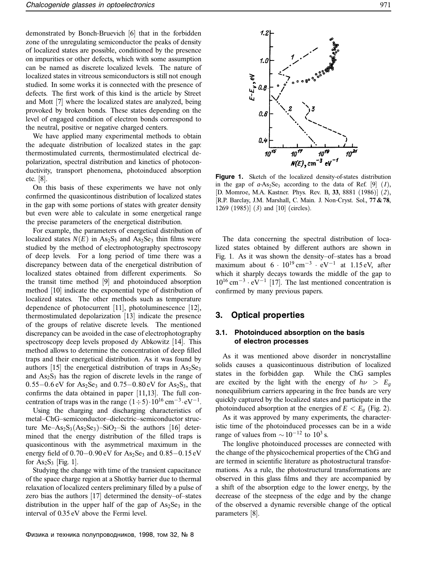demonstrated by Bonch-Bruevich [6] that in the forbidden zone of the unregulating semiconductor the peaks of density of localized states are possible, conditioned by the presence on impurities or other defects, which with some assumption can be named as discrete localized levels. The nature of localized states in vitreous semiconductors is still not enough studied. In some works it is connected with the presence of defects. The first work of this kind is the article by Street and Mott [7] where the localized states are analyzed, being provoked by broken bonds. These states depending on the level of engaged condition of electron bonds correspond to the neutral, positive or negative charged centers.

We have applied many experimental methods to obtain the adequate distribution of localized states in the gap: thermostimulated currents, thermostimulated electrical depolarization, spectral distribution and kinetics of photoconductivity, transport phenomena, photoinduced absorption etc. [8].

On this basis of these experiments we have not only confirmed the quasicontinous distribution of localized states in the gap with some portions of states with greater density but even were able to calculate in some energetical range the precise parameters of the energetical distribution.

For example, the parameters of energetical distribution of localized states  $N(E)$  in As<sub>2</sub>S<sub>3</sub> and As<sub>2</sub>Se<sub>3</sub> thin films were studied by the method of electrophotography spectroscopy of deep levels. For a long period of time there was a discrepancy between data of the energetical distribution of localized states obtained from different experiments. So the transit time method [9] and photoinduced absorption method [10] indicate the exponential type of distribution of localized states. The other methods such as temperature dependence of photocurrent [11], photoluminescence [12], thermostimulated depolarization [13] indicate the presence of the groups of relative discrete levels. The mentioned discrepancy can be avoided in the case of electrophotography spectroscopy deep levels proposed dy Abkowitz [14]. This method allows to determine the concentration of deep filled traps and their energetical distribution. As it was found by authors [15] the energetical distribution of traps in  $As_2Se_3$ and  $As_2S_3$  has the region of discrete levels in the range of 0.55−0.6 eV for  $As_2Se_3$  and 0.75−0.80 eV for  $As_2S_3$ , that confirms the data obtained in paper [11,13]. The full concentration of traps was in the range  $(1 \div 5) \cdot 10^{16}$  cm<sup>-3</sup> $\cdot$ eV<sup>-1</sup>.

Using the charging and discharging characteristics of metal–ChG–semiconductor–dielectric–semiconductor structure Me–As<sub>2</sub>S<sub>3</sub>(As<sub>2</sub>Se<sub>3</sub>)–SiO<sub>2</sub>–Si the authors [16] determined that the energy distribution of the filled traps is quasicontinous with the asymmetrical maximum in the energy field of  $0.70-0.90$  eV for As<sub>2</sub>Se<sub>3</sub> and  $0.85-0.15$  eV for  $As_2S_3$  [Fig. 1].

Studying the change with time of the transient capacitance of the space charge region at a Shottky barrier due to thermal relaxation of localized centers preliminary filled by a pulse of zero bias the authors [17] determined the density–of–states distribution in the upper half of the gap of  $As_2Se_3$  in the interval of 0.35 eV above the Fermi level.

The data concerning the spectral distribution of localized states obtained by different authors are shown in Fig. 1. As it was shown the density–of–states has a broad maximum about  $6 \cdot 10^{19}$  cm<sup>-3</sup> · eV<sup>-1</sup> at 1.15 eV, after which it sharply decays towards the middle of the gap to  $10^{16}$  cm<sup>-3</sup> · eV<sup>-1</sup> [17]. The last mentioned concentration is confirmed by many previous papers.

in the gap of  $a$ -As<sub>2</sub>Se<sub>3</sub> according to the data of Ref. [9] (*1*), [D. Momroe, M.A. Kastner. Phys. Rev. B, **33**, 8881 (1986)] (*2*), [R.P. Barclay, J.M. Marshall, C. Main. J. Non-Cryst. Sol., **77 & 78**,

#### **3. Optical properties**

1269 (1985)] (*3*) and [10] (circles).

#### **3.1. Photoinduced absorption on the basis of electron processes**

As it was mentioned above disorder in noncrystalline solids causes a quasicontinuous distribution of localized states in the forbidden gap. While the ChG samples are excited by the light with the energy of  $h\nu > E_g$ nonequilibrium carriers appearing in the free bands are very quickly captured by the localized states and participate in the photoinduced absorption at the energies of  $E < E<sub>g</sub>$  (Fig. 2).

As it was approved by many experiments, the characteristic time of the photoinduced processes can be in a wide range of values from  $\sim 10^{-12}$  to  $10^3$  s.

The longlive photoinduced processes are connected with the change of the physicochemical properties of the ChG and are termed in scientific literature as photostructural transformations. As a rule, the photostructural transformations are observed in this glass films and they are accompanied by a shift of the absorption edge to the lower energy, by the decrease of the steepness of the edge and by the change of the observed a dynamic reversible change of the optical parameters [8].

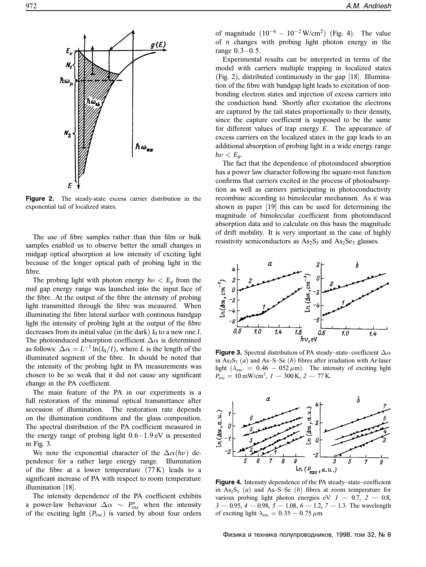

**Figure 2.** The steady-state excess carrier distribution in the exponential tail of localized states.

The use of fibre samples rather than thin film or bulk samples enabled us to observe better the small changes in midgap optical absorption at low intensity of exciting light because of the longer optical path of probing light in the fibre.

The probing light with photon energy  $h\nu < E_g$  from the mid gap energy range was launched into the input face of the fibre. At the output of the fibre the intensity of probing light transmitted through the fibre was measured. When illuminating the fibre lateral surface with continous bandgap light the intensity of probing light at the output of the fibre decreases from its initial value (in the dark)  $I_0$  to a new one  $I$ . The photoinduced absorption coefficient  $\Delta \alpha$  is determined as follows:  $\Delta \alpha = L^{-1} \ln(I_0/I)$ , where *L* is the length of the illuminated segment of the fibre. In should be noted that the intensity of the probing light in PA measurements was chosen to be so weak that it did not cause any significant change in the PA coefficient.

The main feature of the PA in our experiments is a full restoration of the minimal optical transmittance after secession of illumination. The restoration rate depends on the illumination conditions and the glass composition. The spectral distribution of the PA coefficient measured in the energy range of probing light 0.6−1.9 eV is presented in Fig. 3.

We note the exponential character of the  $\Delta \alpha(h\nu)$  dependence for a rather large energy range. Illumination of the fibre at a lower temperature  $(77 K)$  leads to a significant increase of PA with respect to room temperature illumination [18].

The intensity dependence of the PA coefficient exhibits a power-law behaviour  $\Delta \alpha \sim P_{\text{exc}}^n$  when the intensity of the exciting light (*P*exc) is varied by about four orders

of magnitude  $(10^{-6} - 10^{-2} \text{ W/cm}^2)$  (Fig. 4). The value of *n* changes with probing light photon energy in the range 0.3−0.5.

Experimental results can be interpreted in terms of the model with carriers multiple trapping in localized states (Fig. 2), distributed continuously in the gap [18]. Illumination of the fibre with bandgap light leads to excitation of nonbonding electron states and injection of excess carriers into the conduction band. Shortly after excitation the electrons are captured by the tail states proportionally to their density, since the capture coefficient is supposed to be the same for different values of trap energy *E*. The appearance of excess carriers on the localized states in the gap leads to an additional absorption of probing light in a wide energy range  $h\nu < E_g$ .

The fact that the dependence of photoinduced absorption has a power law character following the square-root function confirms that carriers excited in the process of photoabsorption as well as carriers participating in photoconductivity recombine according to bimolecular mechanism. As it was shown in paper [19] this can be used for determining the magnitude of bimolecular coefficient from photoinduced absorption data and to calculate on this basis the magnitude of drift mobility. It is very important in the case of highly resistivity semiconductors as  $As_2S_3$  and  $As_2Se_3$  glasses.



**Figure 3.** Spectral distribution of PA steady–state–coefficient  $\Delta \alpha$ in  $As_2S_3$  (*a*) and As–S–Se (*b*) fibres after irradiation with Ar-laser light ( $\lambda_{\text{exc}} = 0.46 - 052 \,\mu\text{m}$ ). The intensity of exciting light  $P_{\text{exc}} = 10 \text{ mW/cm}^2$ ,  $I = 300 \text{ K}$ ,  $2 = 77 \text{ K}$ .



**Figure 4.** Intensity dependence of the PA steady–state–coefficient in  $As_2S_3$  (*a*) and  $As-S-Se$  (*b*) fibres at room temperature for various probing light photon energies eV:  $1 - 0.7$ ,  $2 - 0.8$ , *3* — 0.95, *4* — 0.98, *5* — 1.08, *6* — 1.2, *7* — 1.3. The wavelength of exciting light  $\lambda_{\rm exc} = 0.35 - 0.75 \,\mu \rm m$ .

Физика и техника полупроводников, 1998, том 32, № 8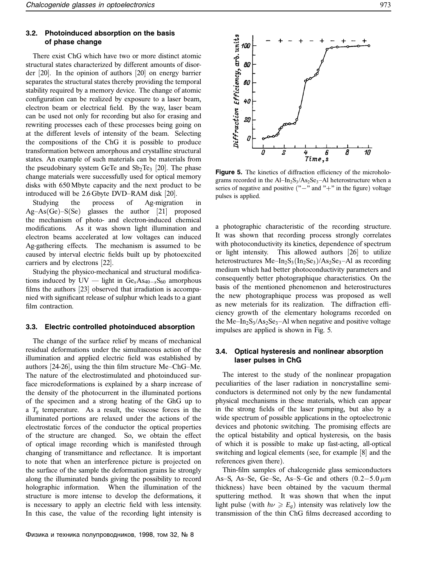#### **3.2. Photoinduced absorption on the basis of phase change**

There exist ChG which have two or more distinct atomic structural states characterized by different amounts of disorder [20]. In the opinion of authors [20] on energy barrier separates the structural states thereby providing the temporal stability required by a memory device. The change of atomic configuration can be realized by exposure to a laser beam, electron beam or electrical field. By the way, laser beam can be used not only for recording but also for erasing and rewriting processes each of these processes being going on at the different levels of intensity of the beam. Selecting the compositions of the ChG it is possible to produce transformation between amorphous and crystalline structural states. An example of such materials can be materials from the pseudobinary system GeTe and  $Sb<sub>2</sub>Te<sub>3</sub>$  [20]. The phase change materials were successfully used for optical memory disks with 650 Mbyte capacity and the next product to be introduced will be 2.6 Gbyte DVD–RAM disk [20].

Studying the process of Ag-migration in  $Ag-As(Ge)-S(Se)$  glasses the author [21] proposed the mechanism of photo- and electron-induced chemical modifications. As it was shown light illumination and electron beams accelerated at low voltages can induced Ag-gathering effects. The mechanism is assumed to be caused by interval electric fields built up by photoexcited carriers and by electrons [22].

Studying the physico-mechanical and structural modifications induced by UV — light in  $Ge<sub>x</sub> As<sub>40−*x*</sub>S<sub>60</sub>$  amorphous films the authors [23] observed that irradiation is accompanied with significant release of sulphur which leads to a giant film contraction.

#### **3.3. Electric controlled photoinduced absorption**

The change of the surface relief by means of mechanical residual deformations under the simultaneous action of the illumination and applied electric field was established by authors [24-26], using the thin film structure Me–ChG–Me. The nature of the electrostimulated and photoinduced surface microdeformations is explained by a sharp increase of the density of the photocurrent in the illuminated portions of the specimen and a strong heating of the GhG up to a  $T_g$  temperature. As a result, the viscose forces in the illuminated portions are relaxed under the actions of the electrostatic forces of the conductor the optical properties of the structure are changed. So, we obtain the effect of optical image recording which is manifested through changing of transmittance and reflectance. It is important to note that when an interference picture is projected on the surface of the sample the deformation grains lie strongly along the illuminated bands giving the possibility to record holographic information. When the illumination of the structure is more intense to develop the deformations, it is necessary to apply an electric field with less intensity. In this case, the value of the recording light intensity is



Figure 5. The kinetics of diffraction efficiency of the microholograms recorded in the  $Al-In_2S_3/As_2Se_3-Al$  heterostructure when a series of negative and positive ("−" and "+" in the figure) voltage pulses is applied.

a photographic characteristic of the recording structure. It was shown that recording process strongly correlates with photoconductivity its kinetics, dependence of spectrum or light intensity. This allowed authors [26] to utilize heterostructures Me–In<sub>2</sub>S<sub>3</sub>(In<sub>2</sub>Se<sub>3</sub>)/As<sub>2</sub>Se<sub>3</sub>–Al as recording medium which had better photoconductivity parameters and consequently better photographique characteristics. On the basis of the mentioned phenomenon and heterostructures the new photographique process was proposed as well as new meterials for its realization. The diffraction efficiency growth of the elementary holograms recorded on the Me–In<sub>2</sub>S<sub>3</sub>/As<sub>2</sub>Se<sub>3</sub>–Al when negative and positive voltage impulses are applied is shown in Fig. 5.

## **3.4. Optical hysteresis and nonlinear absorption laser pulses in ChG**

The interest to the study of the nonlinear propagation peculiarities of the laser radiation in noncrystalline semiconductors is determined not only by the new fundamental physical mechanisms in these materials, which can appear in the strong fields of the laser pumping, but also by a wide spectrum of possible applications in the optoelectronic devices and photonic switching. The promising effects are the optical bistability and optical hysteresis, on the basis of which it is possible to make up fast-acting, all-optical switching and logical elements (see, for example [8] and the references given there).

Thin-film samples of chalcogenide glass semiconductors As–S, As–Se, Ge–Se, As–S–Ge and others  $(0.2-5.0 \,\mu m)$ thickness) have been obtained by the vacuum thermal sputtering method. It was shown that when the input light pulse (with  $h\nu \ge E_{g}$ ) intensity was relatively low the transmission of the thin ChG films decreased according to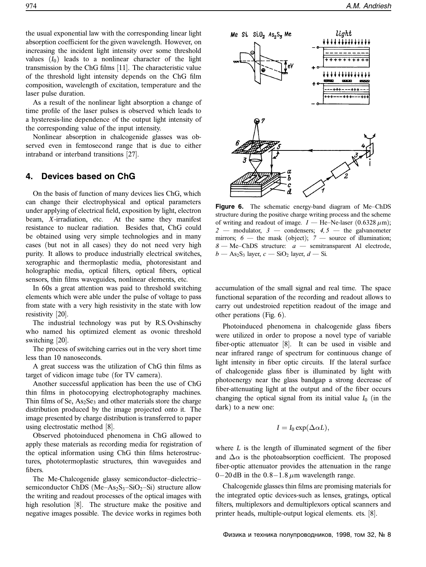the usual exponential law with the corresponding linear light absorption coefficient for the given wavelength. However, on increasing the incident light intensity over some threshold values  $(I_0)$  leads to a nonlinear character of the light transmission by the ChG films [11]. The characteristic value of the threshold light intensity depends on the ChG film composition, wavelength of excitation, temperature and the laser pulse duration.

As a result of the nonlinear light absorption a change of time profile of the laser pulses is observed which leads to a hysteresis-line dependence of the output light intensity of the corresponding value of the input intensity.

Nonlinear absorption in chalcogenide glasses was observed even in femtosecond range that is due to either intraband or interband transitions [27].

# **4. Devices based on ChG**

On the basis of function of many devices lies ChG, which can change their electrophysical and optical parameters under applying of electrical field, exposition by light, electron beam, *X*-irradiation, etc. At the same they manifest resistance to nuclear radiation. Besides that, ChG could be obtained using very simple technologies and in many cases (but not in all cases) they do not need very high purity. It allows to produce industrially electrical switches, xerographic and thermoplastic media, photoresistant and holographic media, optical filters, optical fibers, optical sensors, thin films waveguides, nonlinear elements, etc.

In 60s a great attention was paid to threshold switching elements which were able under the pulse of voltage to pass from state with a very high resistivity in the state with low resistivity [20].

The industrial technology was put by R.S. Ovshinschy who named his optimized element as ovonic threshold switching [20].

The process of switching carries out in the very short time less than 10 nanoseconds.

A great success was the utilization of ChG thin films as target of vidicon image tube (for TV camera).

Another successful application has been the use of ChG thin films in photocopying electrophotography machines. Thin films of Se, As<sub>2</sub>Se<sub>3</sub> and other materials store the charge distribution produced by the image projected onto it. The image presented by charge distribution is transferred to paper using electrostatic method [8].

Observed photoinduced phenomena in ChG allowed to apply these materials as recording media for registration of the optical information using ChG thin films heterostructures, phototermoplastic structures, thin waveguides and fibers.

The Me-Chalcogenide glassy semiconductor–dielectric– semiconductor ChDS (Me–As<sub>2</sub>S<sub>3</sub>–SiO<sub>2</sub>–Si) structure allow the writing and readout processes of the optical images with high resolution [8]. The structure make the positive and negative images possible. The device works in regimes both



**Figure 6.** The schematic energy-band diagram of Me–ChDS structure during the positive charge writing process and the scheme of writing and readout of image.  $I$  — He–Ne-laser (0.6328  $\mu$ m); *2* — modulator, *3* — condensers; *4, 5* — the galvanometer mirrors; *6* — the mask (object); *7* — source of illumination; *8* — Me–ChDS structure: *a* — semitransparent Al electrode,  $b$  — As<sub>2</sub>S<sub>3</sub> layer,  $c$  — SiO<sub>2</sub> layer,  $d$  — Si.

accumulation of the small signal and real time. The space functional separation of the recording and readout allows to carry out undestroied repetition readout of the image and other perations (Fig. 6).

Photoinduced phenomena in chalcogenide glass fibers were utilized in order to propose a novel type of variable fiber-optic attenuator [8]. It can be used in visible and near infrared range of spectrum for continuous change of light intensity in fiber optic circuits. If the lateral surface of chalcogenide glass fiber is illuminated by light with photoenergy near the glass bandgap a strong decrease of fiber-attenuating light at the output and of the fiber occurs changing the optical signal from its initial value  $I_0$  (in the dark) to a new one:

$$
I = I_0 \exp(\Delta \alpha L),
$$

where *L* is the length of illuminated segment of the fiber and  $\Delta \alpha$  is the photoabsorption coefficient. The proposed fiber-optic attenuator provides the attenuation in the range 0−20 dB in the 0.8−1.8  $\mu$ m wavelength range.

Chalcogenide glasses thin films are promising materials for the integrated optic devices-such as lenses, gratings, optical filters, multiplexors and demultiplexors optical scanners and printer heads, multiple-output logical elements. ets. [8].